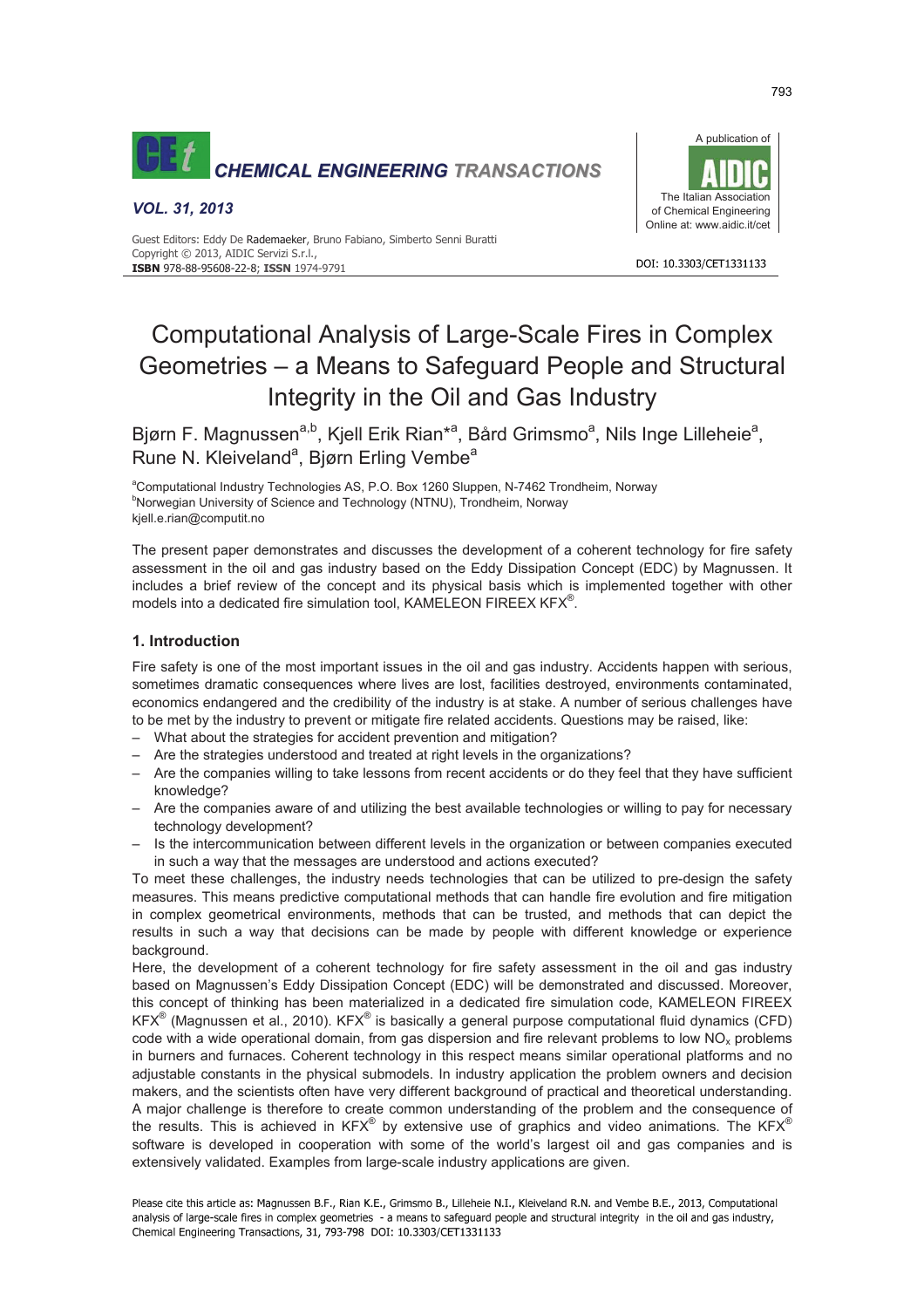

# *VOL. 31, 2013*

Guest Editors: Eddy De Rademaeker, Bruno Fabiano, Simberto Senni Buratti Copyright © 2013, AIDIC Servizi S.r.l., **ISBN** 978-88-95608-22-8; **ISSN** 1974-9791

#### DOI: 10.3303/CFT1331133

# Computational Analysis of Large-Scale Fires in Complex Geometries – a Means to Safeguard People and Structural Integrity in the Oil and Gas Industry

Bjørn F. Magnussen<sup>a,b</sup>, Kjell Erik Rian<sup>\*a</sup>, Bård Grimsmo<sup>a</sup>, Nils Inge Lilleheie<sup>a</sup>, Rune N. Kleiveland<sup>a</sup>, Bjørn Erling Vembe<sup>a</sup>

<sup>a</sup>Computational Industry Technologies AS, P.O. Box 1260 Sluppen, N-7462 Trondheim, Norway <sup>b</sup>Norwegian University of Science and Technology (NTNU), Trondheim, Norway kjell.e.rian@computit.no

The present paper demonstrates and discusses the development of a coherent technology for fire safety assessment in the oil and gas industry based on the Eddy Dissipation Concept (EDC) by Magnussen. It includes a brief review of the concept and its physical basis which is implemented together with other models into a dedicated fire simulation tool, KAMELEON FIREEX KFX®.

# **1. Introduction**

Fire safety is one of the most important issues in the oil and gas industry. Accidents happen with serious, sometimes dramatic consequences where lives are lost, facilities destroyed, environments contaminated, economics endangered and the credibility of the industry is at stake. A number of serious challenges have to be met by the industry to prevent or mitigate fire related accidents. Questions may be raised, like:

- What about the strategies for accident prevention and mitigation?
- Are the strategies understood and treated at right levels in the organizations?
- Are the companies willing to take lessons from recent accidents or do they feel that they have sufficient knowledge?
- Are the companies aware of and utilizing the best available technologies or willing to pay for necessary technology development?
- Is the intercommunication between different levels in the organization or between companies executed in such a way that the messages are understood and actions executed?

To meet these challenges, the industry needs technologies that can be utilized to pre-design the safety measures. This means predictive computational methods that can handle fire evolution and fire mitigation in complex geometrical environments, methods that can be trusted, and methods that can depict the results in such a way that decisions can be made by people with different knowledge or experience background.

Here, the development of a coherent technology for fire safety assessment in the oil and gas industry based on Magnussen's Eddy Dissipation Concept (EDC) will be demonstrated and discussed. Moreover, this concept of thinking has been materialized in a dedicated fire simulation code, KAMELEON FIREEX KFX<sup>®</sup> (Magnussen et al., 2010). KFX<sup>®</sup> is basically a general purpose computational fluid dynamics (CFD) code with a wide operational domain, from gas dispersion and fire relevant problems to low  $NO<sub>x</sub>$  problems in burners and furnaces. Coherent technology in this respect means similar operational platforms and no adjustable constants in the physical submodels. In industry application the problem owners and decision makers, and the scientists often have very different background of practical and theoretical understanding. A major challenge is therefore to create common understanding of the problem and the consequence of the results. This is achieved in KFX<sup>®</sup> by extensive use of graphics and video animations. The KFX<sup>®</sup> software is developed in cooperation with some of the world's largest oil and gas companies and is extensively validated. Examples from large-scale industry applications are given.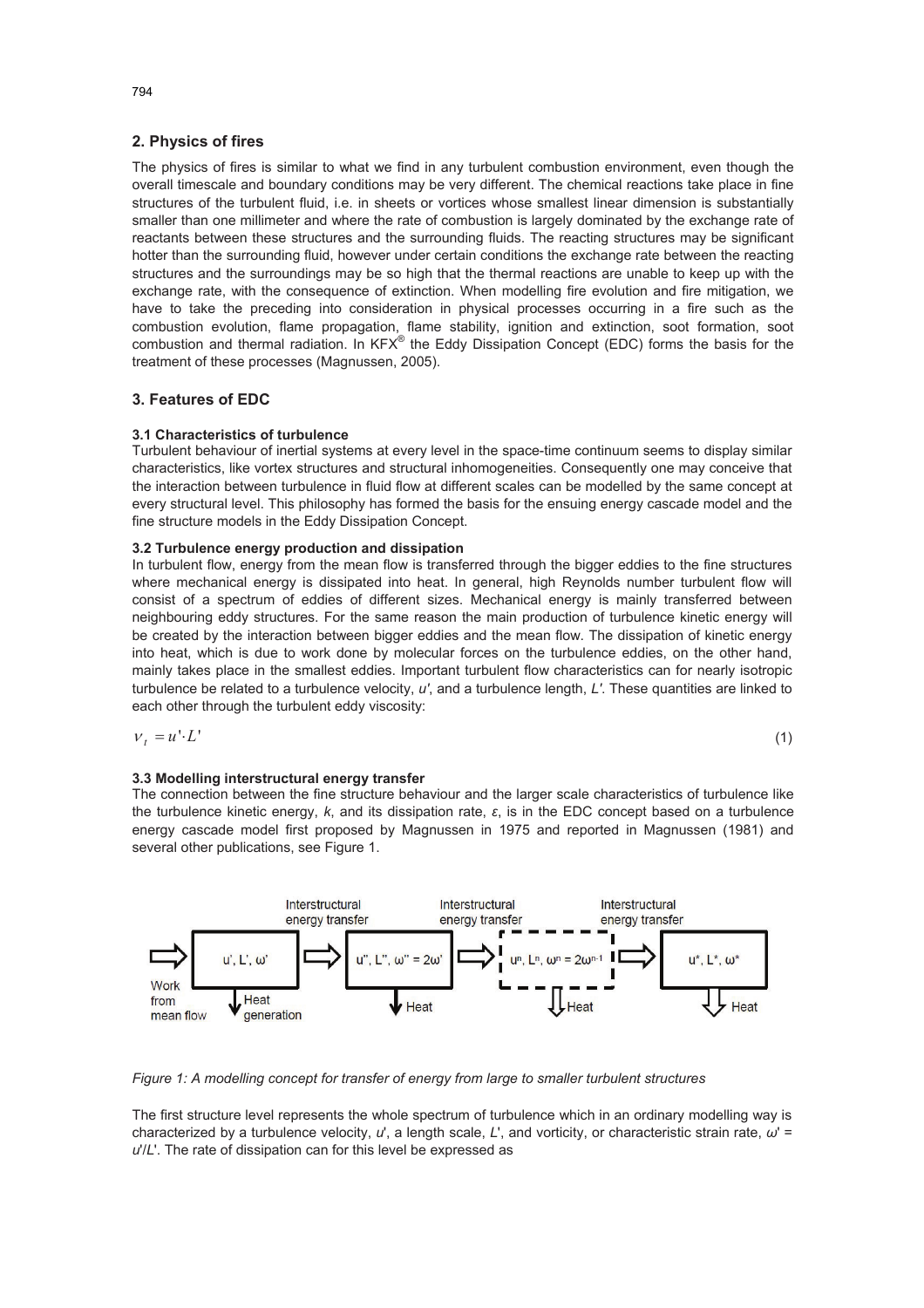## **2. Physics of fires**

The physics of fires is similar to what we find in any turbulent combustion environment, even though the overall timescale and boundary conditions may be very different. The chemical reactions take place in fine structures of the turbulent fluid, i.e. in sheets or vortices whose smallest linear dimension is substantially smaller than one millimeter and where the rate of combustion is largely dominated by the exchange rate of reactants between these structures and the surrounding fluids. The reacting structures may be significant hotter than the surrounding fluid, however under certain conditions the exchange rate between the reacting structures and the surroundings may be so high that the thermal reactions are unable to keep up with the exchange rate, with the consequence of extinction. When modelling fire evolution and fire mitigation, we have to take the preceding into consideration in physical processes occurring in a fire such as the combustion evolution, flame propagation, flame stability, ignition and extinction, soot formation, soot combustion and thermal radiation. In  $KFX^{\otimes}$  the Eddy Dissipation Concept (EDC) forms the basis for the treatment of these processes (Magnussen, 2005).

## **3. Features of EDC**

## **3.1 Characteristics of turbulence**

Turbulent behaviour of inertial systems at every level in the space-time continuum seems to display similar characteristics, like vortex structures and structural inhomogeneities. Consequently one may conceive that the interaction between turbulence in fluid flow at different scales can be modelled by the same concept at every structural level. This philosophy has formed the basis for the ensuing energy cascade model and the fine structure models in the Eddy Dissipation Concept.

#### **3.2 Turbulence energy production and dissipation**

In turbulent flow, energy from the mean flow is transferred through the bigger eddies to the fine structures where mechanical energy is dissipated into heat. In general, high Reynolds number turbulent flow will consist of a spectrum of eddies of different sizes. Mechanical energy is mainly transferred between neighbouring eddy structures. For the same reason the main production of turbulence kinetic energy will be created by the interaction between bigger eddies and the mean flow. The dissipation of kinetic energy into heat, which is due to work done by molecular forces on the turbulence eddies, on the other hand, mainly takes place in the smallest eddies. Important turbulent flow characteristics can for nearly isotropic turbulence be related to a turbulence velocity, *u'*, and a turbulence length, *L'*. These quantities are linked to each other through the turbulent eddy viscosity:

$$
V_t = u^t \cdot L^t \tag{1}
$$

#### **3.3 Modelling interstructural energy transfer**

The connection between the fine structure behaviour and the larger scale characteristics of turbulence like the turbulence kinetic energy, *k*, and its dissipation rate, ε, is in the EDC concept based on a turbulence energy cascade model first proposed by Magnussen in 1975 and reported in Magnussen (1981) and several other publications, see Figure 1.



*Figure 1: A modelling concept for transfer of energy from large to smaller turbulent structures* 

The first structure level represents the whole spectrum of turbulence which in an ordinary modelling way is characterized by a turbulence velocity,  $u'$ , a length scale,  $L'$ , and vorticity, or characteristic strain rate,  $\omega'$  = *u*'/*L*'. The rate of dissipation can for this level be expressed as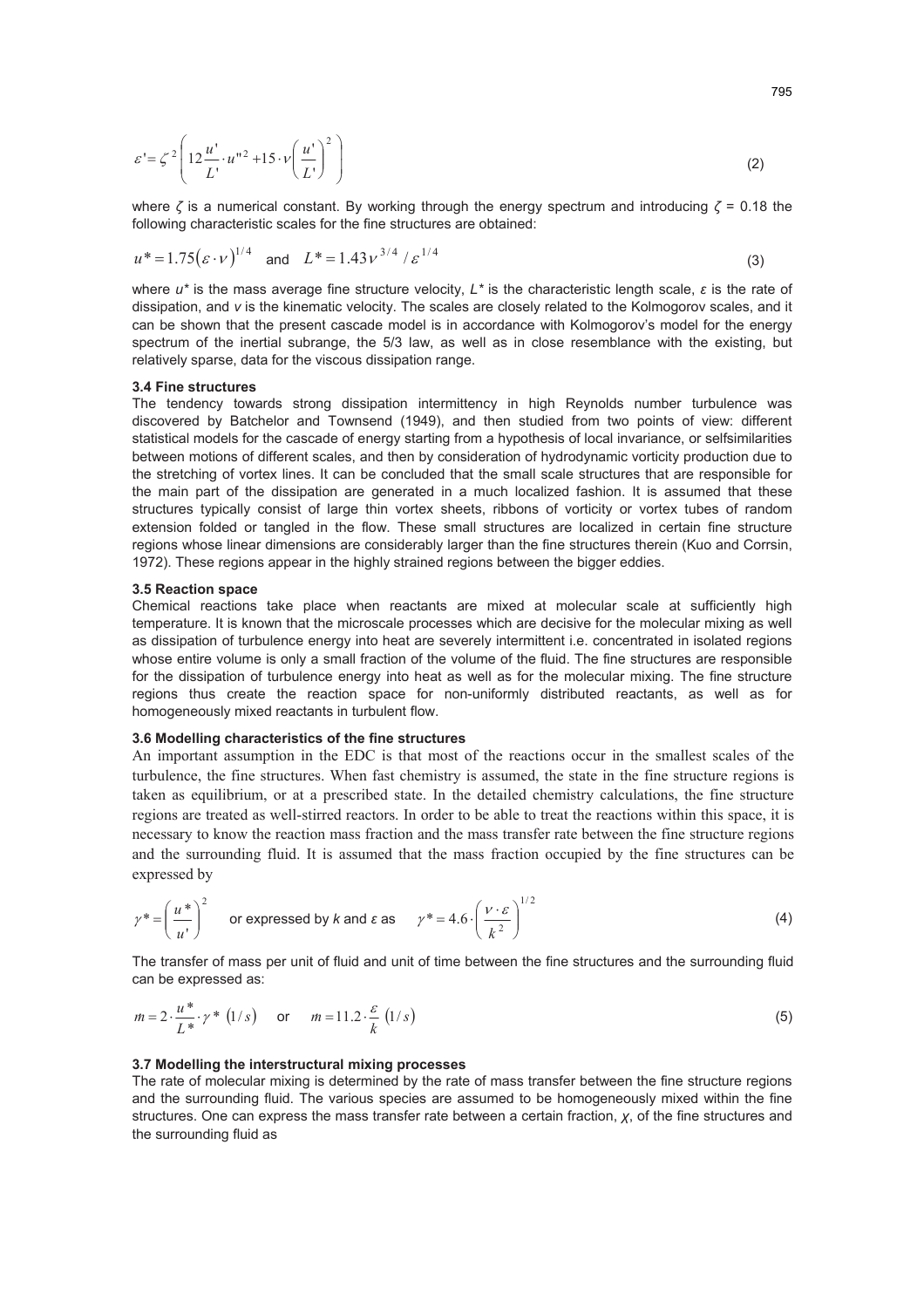$$
\varepsilon = \zeta^2 \left( 12 \frac{u'}{L'} \cdot u''^2 + 15 \cdot v \left( \frac{u'}{L'} \right)^2 \right) \tag{2}
$$

where  $\zeta$  is a numerical constant. By working through the energy spectrum and introducing  $\zeta$  = 0.18 the following characteristic scales for the fine structures are obtained:

$$
u^* = 1.75(\varepsilon \cdot v)^{1/4} \quad \text{and} \quad L^* = 1.43v^{3/4} / \varepsilon^{1/4} \tag{3}
$$

where  $u^*$  is the mass average fine structure velocity,  $L^*$  is the characteristic length scale,  $\varepsilon$  is the rate of dissipation, and *v* is the kinematic velocity. The scales are closely related to the Kolmogorov scales, and it can be shown that the present cascade model is in accordance with Kolmogorov's model for the energy spectrum of the inertial subrange, the 5/3 law, as well as in close resemblance with the existing, but relatively sparse, data for the viscous dissipation range.

#### **3.4 Fine structures**

The tendency towards strong dissipation intermittency in high Reynolds number turbulence was discovered by Batchelor and Townsend (1949), and then studied from two points of view: different statistical models for the cascade of energy starting from a hypothesis of local invariance, or selfsimilarities between motions of different scales, and then by consideration of hydrodynamic vorticity production due to the stretching of vortex lines. It can be concluded that the small scale structures that are responsible for the main part of the dissipation are generated in a much localized fashion. It is assumed that these structures typically consist of large thin vortex sheets, ribbons of vorticity or vortex tubes of random extension folded or tangled in the flow. These small structures are localized in certain fine structure regions whose linear dimensions are considerably larger than the fine structures therein (Kuo and Corrsin, 1972). These regions appear in the highly strained regions between the bigger eddies.

#### **3.5 Reaction space**

Chemical reactions take place when reactants are mixed at molecular scale at sufficiently high temperature. It is known that the microscale processes which are decisive for the molecular mixing as well as dissipation of turbulence energy into heat are severely intermittent i.e. concentrated in isolated regions whose entire volume is only a small fraction of the volume of the fluid. The fine structures are responsible for the dissipation of turbulence energy into heat as well as for the molecular mixing. The fine structure regions thus create the reaction space for non-uniformly distributed reactants, as well as for homogeneously mixed reactants in turbulent flow.

## **3.6 Modelling characteristics of the fine structures**

An important assumption in the EDC is that most of the reactions occur in the smallest scales of the turbulence, the fine structures. When fast chemistry is assumed, the state in the fine structure regions is taken as equilibrium, or at a prescribed state. In the detailed chemistry calculations, the fine structure regions are treated as well-stirred reactors. In order to be able to treat the reactions within this space, it is necessary to know the reaction mass fraction and the mass transfer rate between the fine structure regions and the surrounding fluid. It is assumed that the mass fraction occupied by the fine structures can be expressed by

$$
\gamma^* = \left(\frac{u^*}{u'}\right)^2 \quad \text{or expressed by } k \text{ and } \varepsilon \text{ as } \quad \gamma^* = 4.6 \cdot \left(\frac{v \cdot \varepsilon}{k^2}\right)^{1/2} \tag{4}
$$

The transfer of mass per unit of fluid and unit of time between the fine structures and the surrounding fluid can be expressed as:

$$
m = 2 \cdot \frac{u^*}{L^*} \cdot \gamma^* \quad (1/s) \qquad \text{or} \qquad m = 11.2 \cdot \frac{\varepsilon}{k} \quad (1/s)
$$

## **3.7 Modelling the interstructural mixing processes**

The rate of molecular mixing is determined by the rate of mass transfer between the fine structure regions and the surrounding fluid. The various species are assumed to be homogeneously mixed within the fine structures. One can express the mass transfer rate between a certain fraction, *Ȥ*, of the fine structures and the surrounding fluid as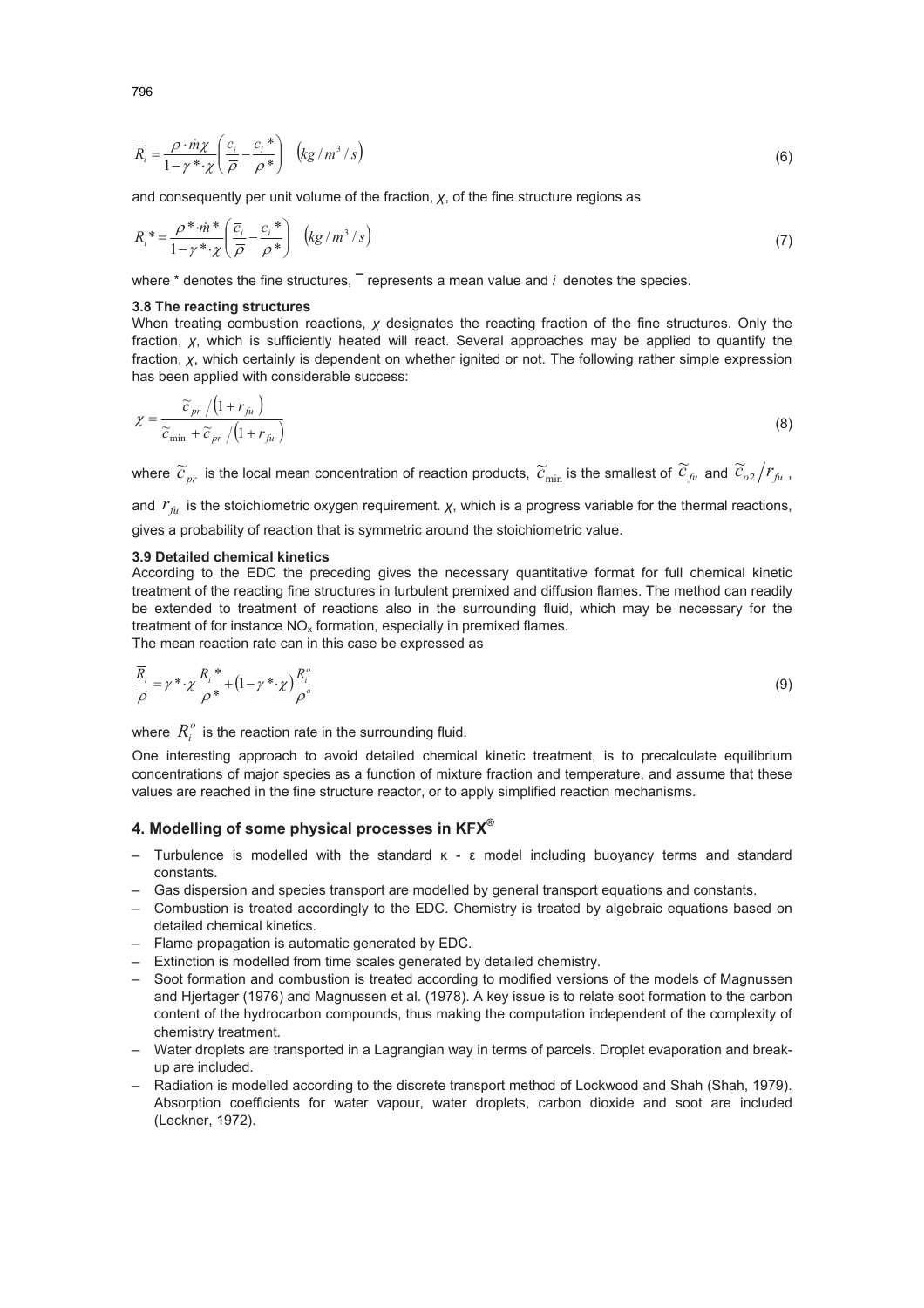$$
\overline{R}_i = \frac{\overline{\rho} \cdot m\chi}{1 - \gamma^* \cdot \chi} \left( \frac{\overline{c}_i}{\overline{\rho}} - \frac{c_i^*}{\rho^*} \right) \left( k g / m^3 / s \right)
$$
(6)

and consequently per unit volume of the fraction, *Ȥ*, of the fine structure regions as

$$
R_i^* = \frac{\rho^* \cdot m^*}{1 - \gamma^* \cdot \chi} \left( \frac{\overline{c}_i}{\overline{\rho}} - \frac{c_i^*}{\rho^*} \right) \left( k g / m^3 / s \right) \tag{7}
$$

where \* denotes the fine structures, **¯** represents a mean value and *i* denotes the species.

#### **3.8 The reacting structures**

When treating combustion reactions,  $\chi$  designates the reacting fraction of the fine structures. Only the fraction, *Ȥ*, which is sufficiently heated will react. Several approaches may be applied to quantify the fraction, *Ȥ*, which certainly is dependent on whether ignited or not. The following rather simple expression has been applied with considerable success:

$$
\chi = \frac{\widetilde{c}_{pr} / (1 + r_{fi})}{\widetilde{c}_{\min} + \widetilde{c}_{pr} / (1 + r_{fi})}
$$
(8)

where  $\widetilde{c}_{_{pr}}$  is the local mean concentration of reaction products,  $\widetilde{c}_{_{\min}}$  is the smallest of  $\widetilde{c}_{_{fi}}$  and  $\widetilde{c}_{_{o2}}/r_{_{fi}}$  ,

and  $r_{\rm fu}$  is the stoichiometric oxygen requirement.  $\chi$ , which is a progress variable for the thermal reactions, gives a probability of reaction that is symmetric around the stoichiometric value.

#### **3.9 Detailed chemical kinetics**

According to the EDC the preceding gives the necessary quantitative format for full chemical kinetic treatment of the reacting fine structures in turbulent premixed and diffusion flames. The method can readily be extended to treatment of reactions also in the surrounding fluid, which may be necessary for the treatment of for instance  $NO<sub>x</sub>$  formation, especially in premixed flames. The mean reaction rate can in this case be expressed as

$$
\frac{\overline{R}_{i}}{\overline{\rho}} = \gamma^* \cdot \chi \frac{R_{i}^*}{\rho^*} + (1 - \gamma^* \cdot \chi) \frac{R_{i}^o}{\rho^o}
$$
\n
$$
\tag{9}
$$

where  $R_i^o$  is the reaction rate in the surrounding fluid.

One interesting approach to avoid detailed chemical kinetic treatment, is to precalculate equilibrium concentrations of major species as a function of mixture fraction and temperature, and assume that these values are reached in the fine structure reactor, or to apply simplified reaction mechanisms.

## **4. Modelling of some physical processes in KFX®**

- Turbulence is modelled with the standard  $\kappa$   $\epsilon$  model including buoyancy terms and standard constants.
- Gas dispersion and species transport are modelled by general transport equations and constants.
- Combustion is treated accordingly to the EDC. Chemistry is treated by algebraic equations based on detailed chemical kinetics.
- Flame propagation is automatic generated by EDC.
- Extinction is modelled from time scales generated by detailed chemistry.
- Soot formation and combustion is treated according to modified versions of the models of Magnussen and Hjertager (1976) and Magnussen et al. (1978). A key issue is to relate soot formation to the carbon content of the hydrocarbon compounds, thus making the computation independent of the complexity of chemistry treatment.
- Water droplets are transported in a Lagrangian way in terms of parcels. Droplet evaporation and breakup are included.
- Radiation is modelled according to the discrete transport method of Lockwood and Shah (Shah, 1979). Absorption coefficients for water vapour, water droplets, carbon dioxide and soot are included (Leckner, 1972).

796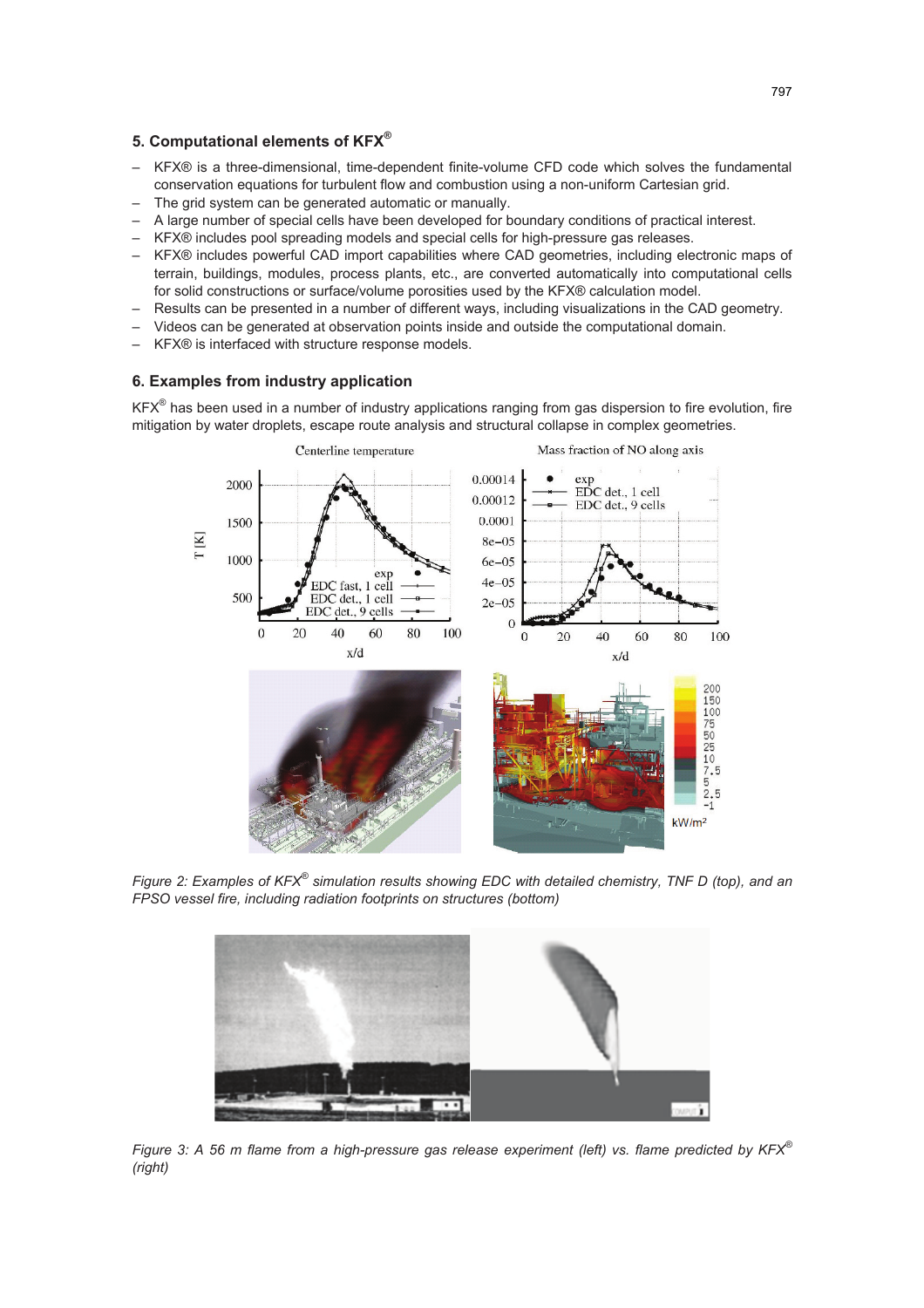## **5. Computational elements of KFX®**

- KFX® is a three-dimensional, time-dependent finite-volume CFD code which solves the fundamental conservation equations for turbulent flow and combustion using a non-uniform Cartesian grid.
- The grid system can be generated automatic or manually.
- A large number of special cells have been developed for boundary conditions of practical interest.
- KFX® includes pool spreading models and special cells for high-pressure gas releases.
- KFX® includes powerful CAD import capabilities where CAD geometries, including electronic maps of terrain, buildings, modules, process plants, etc., are converted automatically into computational cells for solid constructions or surface/volume porosities used by the KFX® calculation model.
- Results can be presented in a number of different ways, including visualizations in the CAD geometry.
- Videos can be generated at observation points inside and outside the computational domain.
- KFX® is interfaced with structure response models.

## **6. Examples from industry application**

KFX<sup>®</sup> has been used in a number of industry applications ranging from gas dispersion to fire evolution, fire mitigation by water droplets, escape route analysis and structural collapse in complex geometries.



*Figure 2: Examples of KFX® simulation results showing EDC with detailed chemistry, TNF D (top), and an FPSO vessel fire, including radiation footprints on structures (bottom)* 



*Figure 3: A 56 m flame from a high-pressure gas release experiment (left) vs. flame predicted by KFX® (right)*